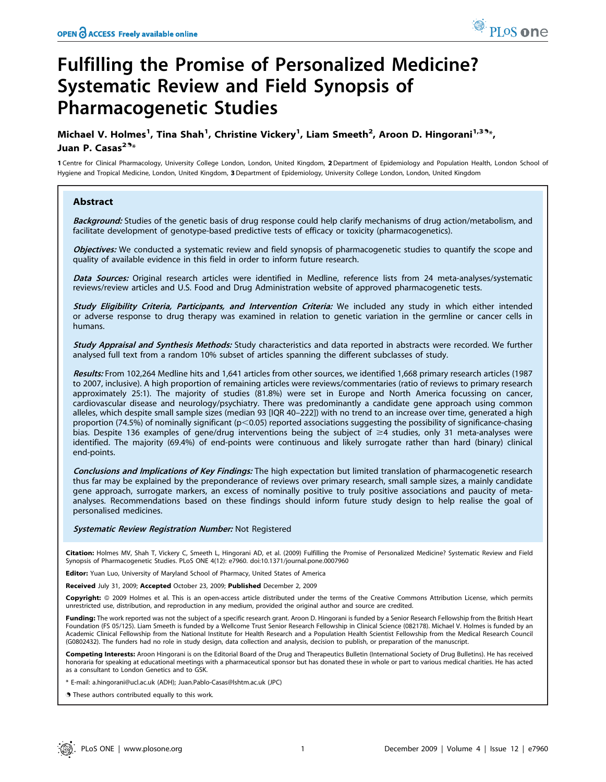# Fulfilling the Promise of Personalized Medicine? Systematic Review and Field Synopsis of Pharmacogenetic Studies

# Michael V. Holmes<sup>1</sup>, Tina Shah<sup>1</sup>, Christine Vickery<sup>1</sup>, Liam Smeeth<sup>2</sup>, Aroon D. Hingorani<sup>1,39</sup>\*, Juan P. Casas<sup>29</sup>\*

1 Centre for Clinical Pharmacology, University College London, London, United Kingdom, 2 Department of Epidemiology and Population Health, London School of Hygiene and Tropical Medicine, London, United Kingdom, 3Department of Epidemiology, University College London, London, United Kingdom

### Abstract

Background: Studies of the genetic basis of drug response could help clarify mechanisms of drug action/metabolism, and facilitate development of genotype-based predictive tests of efficacy or toxicity (pharmacogenetics).

Objectives: We conducted a systematic review and field synopsis of pharmacogenetic studies to quantify the scope and quality of available evidence in this field in order to inform future research.

Data Sources: Original research articles were identified in Medline, reference lists from 24 meta-analyses/systematic reviews/review articles and U.S. Food and Drug Administration website of approved pharmacogenetic tests.

Study Eligibility Criteria, Participants, and Intervention Criteria: We included any study in which either intended or adverse response to drug therapy was examined in relation to genetic variation in the germline or cancer cells in humans.

Study Appraisal and Synthesis Methods: Study characteristics and data reported in abstracts were recorded. We further analysed full text from a random 10% subset of articles spanning the different subclasses of study.

Results: From 102,264 Medline hits and 1,641 articles from other sources, we identified 1,668 primary research articles (1987 to 2007, inclusive). A high proportion of remaining articles were reviews/commentaries (ratio of reviews to primary research approximately 25:1). The majority of studies (81.8%) were set in Europe and North America focussing on cancer, cardiovascular disease and neurology/psychiatry. There was predominantly a candidate gene approach using common alleles, which despite small sample sizes (median 93 [IQR 40–222]) with no trend to an increase over time, generated a high proportion (74.5%) of nominally significant ( $p<0.05$ ) reported associations suggesting the possibility of significance-chasing bias. Despite 136 examples of gene/drug interventions being the subject of  $\geq$ 4 studies, only 31 meta-analyses were identified. The majority (69.4%) of end-points were continuous and likely surrogate rather than hard (binary) clinical end-points.

Conclusions and Implications of Key Findings: The high expectation but limited translation of pharmacogenetic research thus far may be explained by the preponderance of reviews over primary research, small sample sizes, a mainly candidate gene approach, surrogate markers, an excess of nominally positive to truly positive associations and paucity of metaanalyses. Recommendations based on these findings should inform future study design to help realise the goal of personalised medicines.

#### Systematic Review Registration Number: Not Registered

Citation: Holmes MV, Shah T, Vickery C, Smeeth L, Hingorani AD, et al. (2009) Fulfilling the Promise of Personalized Medicine? Systematic Review and Field Synopsis of Pharmacogenetic Studies. PLoS ONE 4(12): e7960. doi:10.1371/journal.pone.0007960

Editor: Yuan Luo, University of Maryland School of Pharmacy, United States of America

Received July 31, 2009; Accepted October 23, 2009; Published December 2, 2009

Copyright: @ 2009 Holmes et al. This is an open-access article distributed under the terms of the Creative Commons Attribution License, which permits unrestricted use, distribution, and reproduction in any medium, provided the original author and source are credited.

Funding: The work reported was not the subject of a specific research grant. Aroon D. Hingorani is funded by a Senior Research Fellowship from the British Heart Foundation (FS 05/125). Liam Smeeth is funded by a Wellcome Trust Senior Research Fellowship in Clinical Science (082178). Michael V. Holmes is funded by an Academic Clinical Fellowship from the National Institute for Health Research and a Population Health Scientist Fellowship from the Medical Research Council (G0802432). The funders had no role in study design, data collection and analysis, decision to publish, or preparation of the manuscript.

Competing Interests: Aroon Hingorani is on the Editorial Board of the Drug and Therapeutics Bulletin (International Society of Drug Bulletins). He has received honoraria for speaking at educational meetings with a pharmaceutical sponsor but has donated these in whole or part to various medical charities. He has acted as a consultant to London Genetics and to GSK.

E-mail: a.hingorani@ucl.ac.uk (ADH); Juan.Pablo-Casas@lshtm.ac.uk (JPC)

. These authors contributed equally to this work.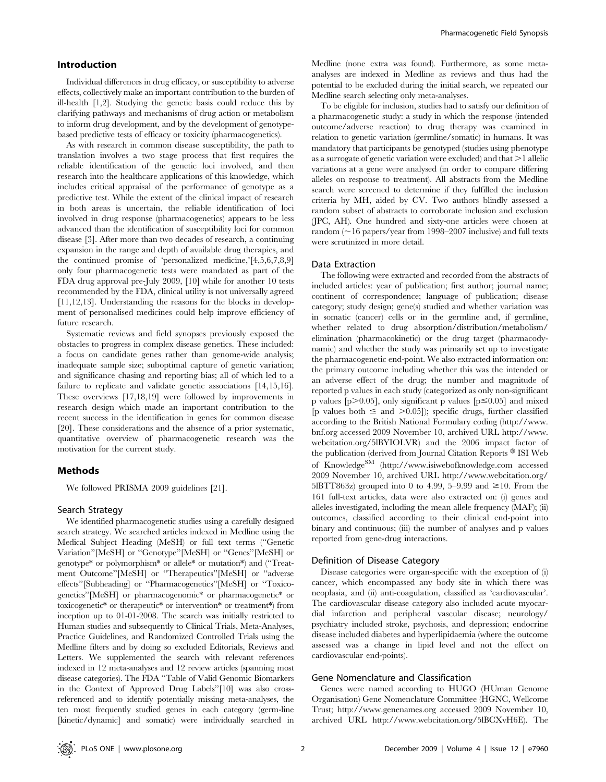#### Introduction

Individual differences in drug efficacy, or susceptibility to adverse effects, collectively make an important contribution to the burden of ill-health [1,2]. Studying the genetic basis could reduce this by clarifying pathways and mechanisms of drug action or metabolism to inform drug development, and by the development of genotypebased predictive tests of efficacy or toxicity (pharmacogenetics).

As with research in common disease susceptibility, the path to translation involves a two stage process that first requires the reliable identification of the genetic loci involved, and then research into the healthcare applications of this knowledge, which includes critical appraisal of the performance of genotype as a predictive test. While the extent of the clinical impact of research in both areas is uncertain, the reliable identification of loci involved in drug response (pharmacogenetics) appears to be less advanced than the identification of susceptibility loci for common disease [3]. After more than two decades of research, a continuing expansion in the range and depth of available drug therapies, and the continued promise of 'personalized medicine,'[4,5,6,7,8,9] only four pharmacogenetic tests were mandated as part of the FDA drug approval pre-July 2009, [10] while for another 10 tests recommended by the FDA, clinical utility is not universally agreed [11,12,13]. Understanding the reasons for the blocks in development of personalised medicines could help improve efficiency of future research.

Systematic reviews and field synopses previously exposed the obstacles to progress in complex disease genetics. These included: a focus on candidate genes rather than genome-wide analysis; inadequate sample size; suboptimal capture of genetic variation; and significance chasing and reporting bias; all of which led to a failure to replicate and validate genetic associations [14,15,16]. These overviews [17,18,19] were followed by improvements in research design which made an important contribution to the recent success in the identification in genes for common disease [20]. These considerations and the absence of a prior systematic, quantitative overview of pharmacogenetic research was the motivation for the current study.

#### Methods

We followed PRISMA 2009 guidelines [21].

#### Search Strategy

We identified pharmacogenetic studies using a carefully designed search strategy. We searched articles indexed in Medline using the Medical Subject Heading (MeSH) or full text terms (''Genetic Variation''[MeSH] or ''Genotype''[MeSH] or ''Genes''[MeSH] or genotype\* or polymorphism\* or allele\* or mutation\*) and (''Treatment Outcome''[MeSH] or ''Therapeutics''[MeSH] or ''adverse effects''[Subheading] or ''Pharmacogenetics''[MeSH] or ''Toxicogenetics''[MeSH] or pharmacogenomic\* or pharmacogenetic\* or toxicogenetic\* or therapeutic\* or intervention\* or treatment\*) from inception up to 01-01-2008. The search was initially restricted to Human studies and subsequently to Clinical Trials, Meta-Analyses, Practice Guidelines, and Randomized Controlled Trials using the Medline filters and by doing so excluded Editorials, Reviews and Letters. We supplemented the search with relevant references indexed in 12 meta-analyses and 12 review articles (spanning most disease categories). The FDA ''Table of Valid Genomic Biomarkers in the Context of Approved Drug Labels''[10] was also crossreferenced and to identify potentially missing meta-analyses, the ten most frequently studied genes in each category (germ-line [kinetic/dynamic] and somatic) were individually searched in Medline (none extra was found). Furthermore, as some metaanalyses are indexed in Medline as reviews and thus had the potential to be excluded during the initial search, we repeated our Medline search selecting only meta-analyses.

To be eligible for inclusion, studies had to satisfy our definition of a pharmacogenetic study: a study in which the response (intended outcome/adverse reaction) to drug therapy was examined in relation to genetic variation (germline/somatic) in humans. It was mandatory that participants be genotyped (studies using phenotype as a surrogate of genetic variation were excluded) and that  $>1$  allelic variations at a gene were analysed (in order to compare differing alleles on response to treatment). All abstracts from the Medline search were screened to determine if they fulfilled the inclusion criteria by MH, aided by CV. Two authors blindly assessed a random subset of abstracts to corroborate inclusion and exclusion (JPC, AH). One hundred and sixty-one articles were chosen at random  $(\sim]16$  papers/year from 1998–2007 inclusive) and full texts were scrutinized in more detail.

#### Data Extraction

The following were extracted and recorded from the abstracts of included articles: year of publication; first author; journal name; continent of correspondence; language of publication; disease category; study design; gene(s) studied and whether variation was in somatic (cancer) cells or in the germline and, if germline, whether related to drug absorption/distribution/metabolism/ elimination (pharmacokinetic) or the drug target (pharmacodynamic) and whether the study was primarily set up to investigate the pharmacogenetic end-point. We also extracted information on: the primary outcome including whether this was the intended or an adverse effect of the drug; the number and magnitude of reported p values in each study (categorized as only non-significant p values  $[p>0.05]$ , only significant p values  $[p \le 0.05]$  and mixed [p values both  $\leq$  and  $>$  0.05]); specific drugs, further classified according to the British National Formulary coding (http://www. bnf.org accessed 2009 November 10, archived URL http://www. webcitation.org/5lBYIOLVR) and the 2006 impact factor of the publication (derived from Journal Citation Reports <sup>®</sup> ISI Web of KnowledgeSM (http://www.isiwebofknowledge.com accessed 2009 November 10, archived URL http://www.webcitation.org/ 5lBTT863z) grouped into 0 to 4.99, 5–9.99 and  $\geq 10$ . From the 161 full-text articles, data were also extracted on: (i) genes and alleles investigated, including the mean allele frequency (MAF); (ii) outcomes, classified according to their clinical end-point into binary and continuous; (iii) the number of analyses and p values reported from gene-drug interactions.

#### Definition of Disease Category

Disease categories were organ-specific with the exception of (i) cancer, which encompassed any body site in which there was neoplasia, and (ii) anti-coagulation, classified as 'cardiovascular'. The cardiovascular disease category also included acute myocardial infarction and peripheral vascular disease; neurology/ psychiatry included stroke, psychosis, and depression; endocrine disease included diabetes and hyperlipidaemia (where the outcome assessed was a change in lipid level and not the effect on cardiovascular end-points).

#### Gene Nomenclature and Classification

Genes were named according to HUGO (HUman Genome Organisation) Gene Nomenclature Committee (HGNC, Wellcome Trust; http://www.genenames.org accessed 2009 November 10, archived URL http://www.webcitation.org/5lBCXvH6E). The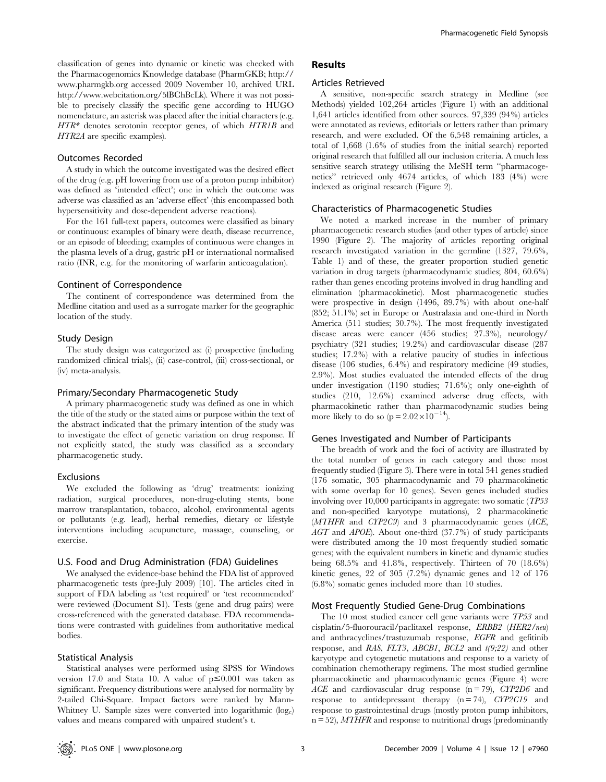classification of genes into dynamic or kinetic was checked with the Pharmacogenomics Knowledge database (PharmGKB; http:// www.pharmgkb.org accessed 2009 November 10, archived URL http://www.webcitation.org/5lBChBcLk). Where it was not possible to precisely classify the specific gene according to HUGO nomenclature, an asterisk was placed after the initial characters (e.g. HTR\* denotes serotonin receptor genes, of which HTR1B and HTR2A are specific examples).

#### Outcomes Recorded

A study in which the outcome investigated was the desired effect of the drug (e.g. pH lowering from use of a proton pump inhibitor) was defined as 'intended effect'; one in which the outcome was adverse was classified as an 'adverse effect' (this encompassed both hypersensitivity and dose-dependent adverse reactions).

For the 161 full-text papers, outcomes were classified as binary or continuous: examples of binary were death, disease recurrence, or an episode of bleeding; examples of continuous were changes in the plasma levels of a drug, gastric pH or international normalised ratio (INR, e.g. for the monitoring of warfarin anticoagulation).

#### Continent of Correspondence

The continent of correspondence was determined from the Medline citation and used as a surrogate marker for the geographic location of the study.

#### Study Design

The study design was categorized as: (i) prospective (including randomized clinical trials), (ii) case-control, (iii) cross-sectional, or (iv) meta-analysis.

#### Primary/Secondary Pharmacogenetic Study

A primary pharmacogenetic study was defined as one in which the title of the study or the stated aims or purpose within the text of the abstract indicated that the primary intention of the study was to investigate the effect of genetic variation on drug response. If not explicitly stated, the study was classified as a secondary pharmacogenetic study.

#### Exclusions

We excluded the following as 'drug' treatments: ionizing radiation, surgical procedures, non-drug-eluting stents, bone marrow transplantation, tobacco, alcohol, environmental agents or pollutants (e.g. lead), herbal remedies, dietary or lifestyle interventions including acupuncture, massage, counseling, or exercise.

#### U.S. Food and Drug Administration (FDA) Guidelines

We analysed the evidence-base behind the FDA list of approved pharmacogenetic tests (pre-July 2009) [10]. The articles cited in support of FDA labeling as 'test required' or 'test recommended' were reviewed (Document S1). Tests (gene and drug pairs) were cross-referenced with the generated database. FDA recommendations were contrasted with guidelines from authoritative medical bodies.

#### Statistical Analysis

Statistical analyses were performed using SPSS for Windows version 17.0 and Stata 10. A value of  $p \le 0.001$  was taken as significant. Frequency distributions were analysed for normality by 2-tailed Chi-Square. Impact factors were ranked by Mann-Whitney U. Sample sizes were converted into logarithmic (loge) values and means compared with unpaired student's t.

## Results

#### Articles Retrieved

A sensitive, non-specific search strategy in Medline (see Methods) yielded 102,264 articles (Figure 1) with an additional 1,641 articles identified from other sources. 97,339 (94%) articles were annotated as reviews, editorials or letters rather than primary research, and were excluded. Of the 6,548 remaining articles, a total of 1,668 (1.6% of studies from the initial search) reported original research that fulfilled all our inclusion criteria. A much less sensitive search strategy utilising the MeSH term ''pharmacogenetics'' retrieved only 4674 articles, of which 183 (4%) were indexed as original research (Figure 2).

#### Characteristics of Pharmacogenetic Studies

We noted a marked increase in the number of primary pharmacogenetic research studies (and other types of article) since 1990 (Figure 2). The majority of articles reporting original research investigated variation in the germline (1327, 79.6%, Table 1) and of these, the greater proportion studied genetic variation in drug targets (pharmacodynamic studies; 804, 60.6%) rather than genes encoding proteins involved in drug handling and elimination (pharmacokinetic). Most pharmacogenetic studies were prospective in design (1496, 89.7%) with about one-half (852; 51.1%) set in Europe or Australasia and one-third in North America (511 studies; 30.7%). The most frequently investigated disease areas were cancer (456 studies; 27.3%), neurology/ psychiatry (321 studies; 19.2%) and cardiovascular disease (287 studies; 17.2%) with a relative paucity of studies in infectious disease (106 studies, 6.4%) and respiratory medicine (49 studies, 2.9%). Most studies evaluated the intended effects of the drug under investigation (1190 studies; 71.6%); only one-eighth of studies (210, 12.6%) examined adverse drug effects, with pharmacokinetic rather than pharmacodynamic studies being more likely to do so  $(p = 2.02 \times 10^{-14})$ .

#### Genes Investigated and Number of Participants

The breadth of work and the foci of activity are illustrated by the total number of genes in each category and those most frequently studied (Figure 3). There were in total 541 genes studied (176 somatic, 305 pharmacodynamic and 70 pharmacokinetic with some overlap for 10 genes). Seven genes included studies involving over 10,000 participants in aggregate: two somatic (TP53 and non-specified karyotype mutations), 2 pharmacokinetic (MTHFR and CYP2C9) and 3 pharmacodynamic genes (ACE, AGT and APOE). About one-third (37.7%) of study participants were distributed among the 10 most frequently studied somatic genes; with the equivalent numbers in kinetic and dynamic studies being 68.5% and 41.8%, respectively. Thirteen of 70 (18.6%) kinetic genes, 22 of 305 (7.2%) dynamic genes and 12 of 176 (6.8%) somatic genes included more than 10 studies.

#### Most Frequently Studied Gene-Drug Combinations

The 10 most studied cancer cell gene variants were TP53 and cisplatin/5-fluorouracil/paclitaxel response, ERBB2 (HER2/neu) and anthracyclines/trastuzumab response, EGFR and gefitinib response, and RAS, FLT3, ABCB1, BCL2 and t(9;22) and other karyotype and cytogenetic mutations and response to a variety of combination chemotherapy regimens. The most studied germline pharmacokinetic and pharmacodynamic genes (Figure 4) were  $ACE$  and cardiovascular drug response (n = 79),  $CTP2D6$  and response to antidepressant therapy  $(n = 74)$ , CYP2C19 and response to gastrointestinal drugs (mostly proton pump inhibitors,  $n = 52$ ), *MTHFR* and response to nutritional drugs (predominantly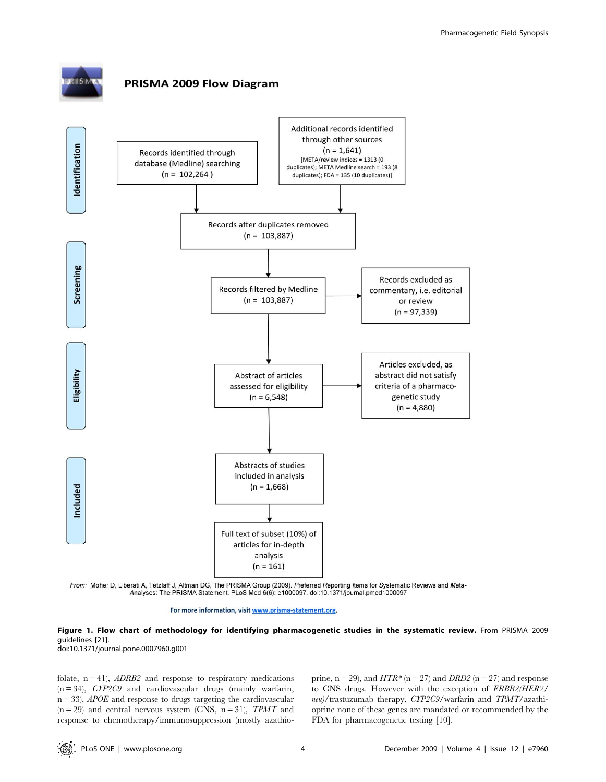

# For more information, visit www.prisma-statement.org.

Figure 1. Flow chart of methodology for identifying pharmacogenetic studies in the systematic review. From PRISMA 2009 guidelines [21].

doi:10.1371/journal.pone.0007960.g001

folate,  $n = 41$ ),  $ADRB2$  and response to respiratory medications (n = 34), CYP2C9 and cardiovascular drugs (mainly warfarin,  $n = 33$ ), *APOE* and response to drugs targeting the cardiovascular  $(n = 29)$  and central nervous system (CNS,  $n = 31$ ), *TPMT* and response to chemotherapy/immunosuppression (mostly azathioprine,  $n = 29$ ), and  $HTR*(n = 27)$  and  $DRD2(n = 27)$  and response to CNS drugs. However with the exception of ERBB2(HER2/ neu)/trastuzumab therapy, CYP2C9/warfarin and TPMT/azathioprine none of these genes are mandated or recommended by the FDA for pharmacogenetic testing [10].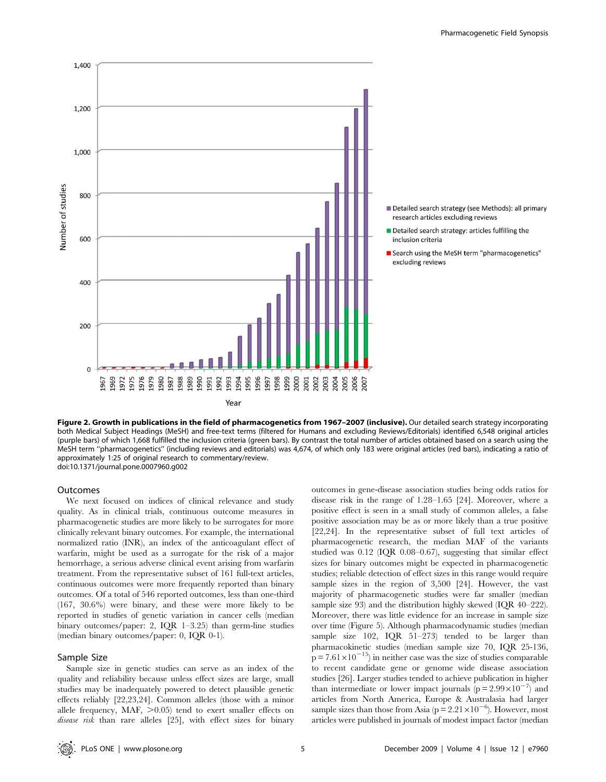

Figure 2. Growth in publications in the field of pharmacogenetics from 1967-2007 (inclusive). Our detailed search strategy incorporating both Medical Subject Headings (MeSH) and free-text terms (filtered for Humans and excluding Reviews/Editorials) identified 6,548 original articles (purple bars) of which 1,668 fulfilled the inclusion criteria (green bars). By contrast the total number of articles obtained based on a search using the MeSH term ''pharmacogenetics'' (including reviews and editorials) was 4,674, of which only 183 were original articles (red bars), indicating a ratio of approximately 1:25 of original research to commentary/review. doi:10.1371/journal.pone.0007960.g002

#### Outcomes

We next focused on indices of clinical relevance and study quality. As in clinical trials, continuous outcome measures in pharmacogenetic studies are more likely to be surrogates for more clinically relevant binary outcomes. For example, the international normalized ratio (INR), an index of the anticoagulant effect of warfarin, might be used as a surrogate for the risk of a major hemorrhage, a serious adverse clinical event arising from warfarin treatment. From the representative subset of 161 full-text articles, continuous outcomes were more frequently reported than binary outcomes. Of a total of 546 reported outcomes, less than one-third (167, 30.6%) were binary, and these were more likely to be reported in studies of genetic variation in cancer cells (median binary outcomes/paper: 2, IQR 1–3.25) than germ-line studies (median binary outcomes/paper: 0, IQR 0-1).

#### Sample Size

Sample size in genetic studies can serve as an index of the quality and reliability because unless effect sizes are large, small studies may be inadequately powered to detect plausible genetic effects reliably [22,23,24]. Common alleles (those with a minor allele frequency, MAF,  $>0.05$ ) tend to exert smaller effects on disease risk than rare alleles [25], with effect sizes for binary outcomes in gene-disease association studies being odds ratios for disease risk in the range of 1.28–1.65 [24]. Moreover, where a positive effect is seen in a small study of common alleles, a false positive association may be as or more likely than a true positive [22,24]. In the representative subset of full text articles of pharmacogenetic research, the median MAF of the variants studied was 0.12 (IQR 0.08–0.67), suggesting that similar effect sizes for binary outcomes might be expected in pharmacogenetic studies; reliable detection of effect sizes in this range would require sample sizes in the region of 3,500 [24]. However, the vast majority of pharmacogenetic studies were far smaller (median sample size 93) and the distribution highly skewed (IQR 40–222). Moreover, there was little evidence for an increase in sample size over time (Figure 5). Although pharmacodynamic studies (median sample size 102, IQR 51–273) tended to be larger than pharmacokinetic studies (median sample size 70, IQR 25-136,  $p = 7.61 \times 10^{-15}$ ) in neither case was the size of studies comparable to recent candidate gene or genome wide disease association studies [26]. Larger studies tended to achieve publication in higher than intermediate or lower impact journals  $(p=2.99\times10^{-7})$  and articles from North America, Europe & Australasia had larger sample sizes than those from Asia ( $p = 2.21 \times 10^{-6}$ ). However, most articles were published in journals of modest impact factor (median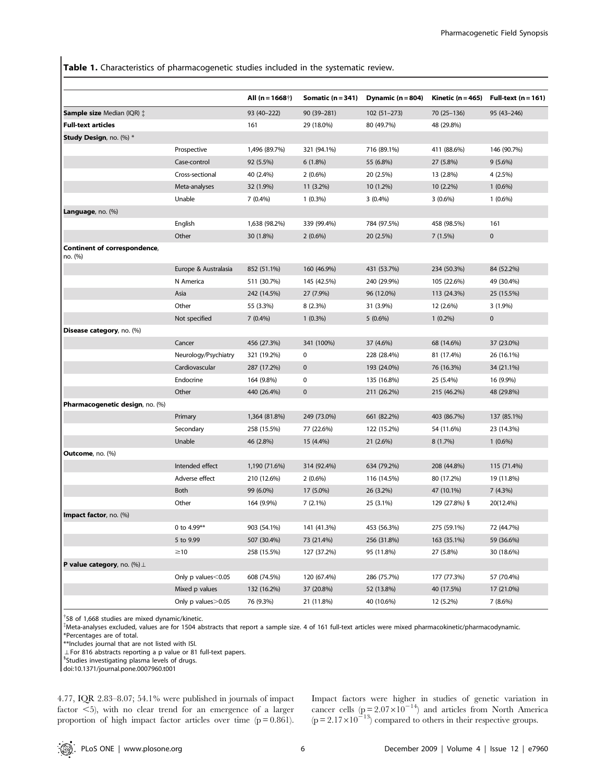Table 1. Characteristics of pharmacogenetic studies included in the systematic review.

|                                            |                          | All (n = $1668\dagger$ ) | Somatic $(n=341)$ | Dynamic $(n = 804)$ | Kinetic (n = $465$ ) | Full-text ( $n = 161$ ) |
|--------------------------------------------|--------------------------|--------------------------|-------------------|---------------------|----------------------|-------------------------|
| <b>Sample size</b> Median (IQR) $\ddagger$ |                          | 93 (40-222)              | 90 (39-281)       | 102 (51-273)        | 70 (25-136)          | 95 (43-246)             |
| <b>Full-text articles</b>                  |                          | 161                      | 29 (18.0%)        | 80 (49.7%)          | 48 (29.8%)           |                         |
| Study Design, no. (%) *                    |                          |                          |                   |                     |                      |                         |
|                                            | Prospective              | 1,496 (89.7%)            | 321 (94.1%)       | 716 (89.1%)         | 411 (88.6%)          | 146 (90.7%)             |
|                                            | Case-control             | 92 (5.5%)                | $6(1.8\%)$        | 55 (6.8%)           | 27 (5.8%)            | $9(5.6\%)$              |
|                                            | Cross-sectional          | 40 (2.4%)                | $2(0.6\%)$        | 20 (2.5%)           | 13 (2.8%)            | 4 (2.5%)                |
|                                            | Meta-analyses            | 32 (1.9%)                | $11(3.2\%)$       | 10 (1.2%)           | $10(2.2\%)$          | $1(0.6\%)$              |
|                                            | Unable                   | 7(0.4%)                  | $1(0.3\%)$        | 3(0.4%)             | $3(0.6\%)$           | $1(0.6\%)$              |
| Language, no. (%)                          |                          |                          |                   |                     |                      |                         |
|                                            | English                  | 1,638 (98.2%)            | 339 (99.4%)       | 784 (97.5%)         | 458 (98.5%)          | 161                     |
|                                            | Other                    | 30 (1.8%)                | $2(0.6\%)$        | 20 (2.5%)           | 7(1.5%)              | $\pmb{0}$               |
| Continent of correspondence,<br>no. (%)    |                          |                          |                   |                     |                      |                         |
|                                            | Europe & Australasia     | 852 (51.1%)              | 160 (46.9%)       | 431 (53.7%)         | 234 (50.3%)          | 84 (52.2%)              |
|                                            | N America                | 511 (30.7%)              | 145 (42.5%)       | 240 (29.9%)         | 105 (22.6%)          | 49 (30.4%)              |
|                                            | Asia                     | 242 (14.5%)              | 27 (7.9%)         | 96 (12.0%)          | 113 (24.3%)          | 25 (15.5%)              |
|                                            | Other                    | 55 (3.3%)                | $8(2.3\%)$        | 31 (3.9%)           | 12 (2.6%)            | 3 (1.9%)                |
|                                            | Not specified            | 7(0.4%)                  | $1(0.3\%)$        | $5(0.6\%)$          | $1(0.2\%)$           | $\mathbf 0$             |
| <b>Disease category</b> , no. (%)          |                          |                          |                   |                     |                      |                         |
|                                            | Cancer                   | 456 (27.3%)              | 341 (100%)        | 37 (4.6%)           | 68 (14.6%)           | 37 (23.0%)              |
|                                            | Neurology/Psychiatry     | 321 (19.2%)              | 0                 | 228 (28.4%)         | 81 (17.4%)           | 26 (16.1%)              |
|                                            | Cardiovascular           | 287 (17.2%)              | 0                 | 193 (24.0%)         | 76 (16.3%)           | 34 (21.1%)              |
|                                            | Endocrine                | 164 (9.8%)               | $\pmb{0}$         | 135 (16.8%)         | 25 (5.4%)            | 16 (9.9%)               |
|                                            | Other                    | 440 (26.4%)              | $\mathbf 0$       | 211 (26.2%)         | 215 (46.2%)          | 48 (29.8%)              |
| Pharmacogenetic design, no. (%)            |                          |                          |                   |                     |                      |                         |
|                                            | Primary                  | 1,364 (81.8%)            | 249 (73.0%)       | 661 (82.2%)         | 403 (86.7%)          | 137 (85.1%)             |
|                                            | Secondary                | 258 (15.5%)              | 77 (22.6%)        | 122 (15.2%)         | 54 (11.6%)           | 23 (14.3%)              |
|                                            | Unable                   | 46 (2.8%)                | 15 (4.4%)         | 21 (2.6%)           | 8(1.7%)              | $1(0.6\%)$              |
| <b>Outcome</b> , no. (%)                   |                          |                          |                   |                     |                      |                         |
|                                            | Intended effect          | 1,190 (71.6%)            | 314 (92.4%)       | 634 (79.2%)         | 208 (44.8%)          | 115 (71.4%)             |
|                                            | Adverse effect           | 210 (12.6%)              | 2(0.6%)           | 116 (14.5%)         | 80 (17.2%)           | 19 (11.8%)              |
|                                            | <b>Both</b>              | 99 (6.0%)                | 17 (5.0%)         | 26 (3.2%)           | 47 (10.1%)           | 7(4.3%)                 |
|                                            | Other                    | 164 (9.9%)               | $7(2.1\%)$        | 25 (3.1%)           | 129 (27.8%) §        | 20(12.4%)               |
| <b>Impact factor</b> , no. (%)             |                          |                          |                   |                     |                      |                         |
|                                            | 0 to 4.99**              | 903 (54.1%)              | 141 (41.3%)       | 453 (56.3%)         | 275 (59.1%)          | 72 (44.7%)              |
|                                            | 5 to 9.99                | 507 (30.4%)              | 73 (21.4%)        | 256 (31.8%)         | 163 (35.1%)          | 59 (36.6%)              |
|                                            | $\geq$ 10                | 258 (15.5%)              | 127 (37.2%)       | 95 (11.8%)          | 27 (5.8%)            | 30 (18.6%)              |
| <b>P</b> value category, no. $(\%) \perp$  |                          |                          |                   |                     |                      |                         |
|                                            | Only $p$ values $<$ 0.05 | 608 (74.5%)              | 120 (67.4%)       | 286 (75.7%)         | 177 (77.3%)          | 57 (70.4%)              |
|                                            | Mixed p values           | 132 (16.2%)              | 37 (20.8%)        | 52 (13.8%)          | 40 (17.5%)           | 17 (21.0%)              |
|                                            | Only p values > 0.05     | 76 (9.3%)                | 21 (11.8%)        | 40 (10.6%)          | 12 (5.2%)            | $7(8.6\%)$              |

{ 58 of 1,668 studies are mixed dynamic/kinetic.

{ Meta-analyses excluded, values are for 1504 abstracts that report a sample size. 4 of 161 full-text articles were mixed pharmacokinetic/pharmacodynamic. \*Percentages are of total.

\*\*Includes journal that are not listed with ISI.

 $\perp$  For 816 abstracts reporting a p value or 81 full-text papers.

<sup>§</sup>Studies investigating plasma levels of drugs.

doi:10.1371/journal.pone.0007960.t001

4.77, IQR 2.83–8.07; 54.1% were published in journals of impact factor  $\leq$ 5), with no clear trend for an emergence of a larger proportion of high impact factor articles over time  $(p = 0.861)$ . Impact factors were higher in studies of genetic variation in cancer cells ( $p = 2.07 \times 10^{-14}$ ) and articles from North America  $(p=2.17\times10^{-13})$  compared to others in their respective groups.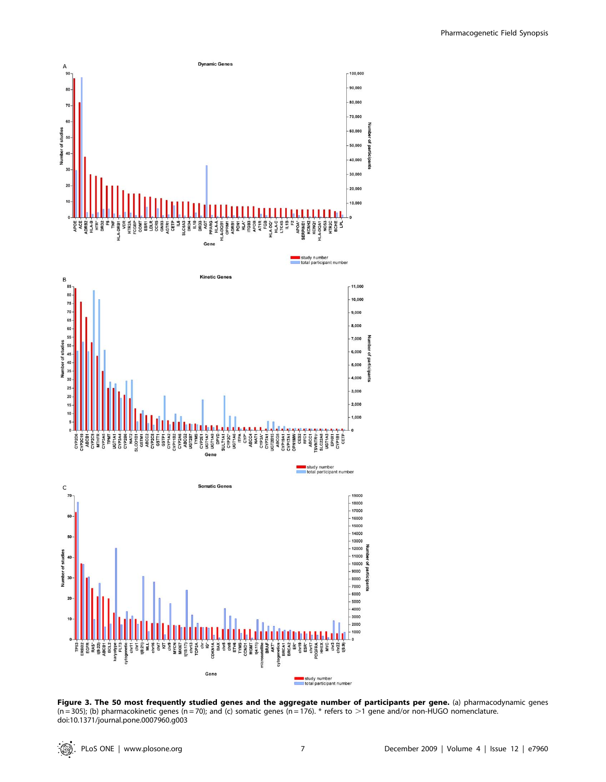

Figure 3. The 50 most frequently studied genes and the aggregate number of participants per gene. (a) pharmacodynamic genes (n = 305); (b) pharmacokinetic genes (n = 70); and (c) somatic genes (n = 176).  $*$  refers to >1 gene and/or non-HUGO nomenclature. doi:10.1371/journal.pone.0007960.g003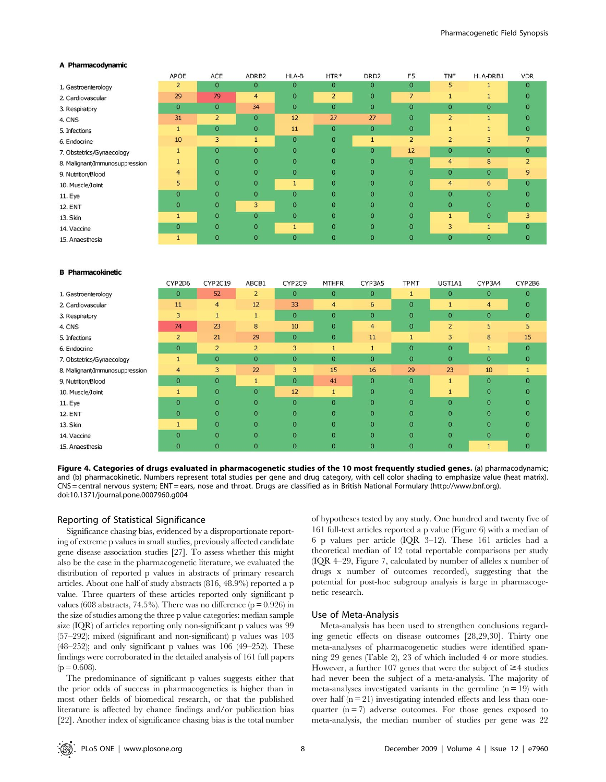#### A Pharmacodynamic

|                                | APOE           | ACE            | ADRB2          | HLA-B        | HTR*           | DRD <sub>2</sub> | F <sub>5</sub> | <b>TNF</b>     | HLA-DRB1     | <b>VDR</b>     |
|--------------------------------|----------------|----------------|----------------|--------------|----------------|------------------|----------------|----------------|--------------|----------------|
| 1. Gastroenterology            | $\overline{2}$ | $\mathbf{0}$   | $\mathbf{0}$   | $\mathbf{0}$ | $\mathbf{0}$   | $\mathbf 0$      | $\bf{0}$       | 5              |              | $\mathbf{0}$   |
| 2. Cardiovascular              | 29             | 79             | $\overline{4}$ | $\mathbf{O}$ | $\overline{2}$ | $\bf{0}$         | $\overline{7}$ |                |              |                |
| 3. Respiratory                 | $\overline{0}$ | $\bf{0}$       | 34             | $\mathbf{0}$ | $\mathbf{0}$   | $\mathbf{0}$     | $\overline{0}$ | $\mathbf{0}$   | $\mathbf{0}$ | $\Omega$       |
| 4. CNS                         | 31             | $\overline{2}$ | $\mathbf{0}$   | 12           | 27             | 27               | $\mathbf{O}$   | $\overline{2}$ |              |                |
| 5. Infections                  |                | $\mathbf{0}$   | $\mathbf{0}$   | 11           | $\mathbf{0}$   | $\mathbf{0}$     | $\bf{0}$       |                |              |                |
| 6. Endocrine                   | 10             | 3              | $\mathbf{1}$   | $\mathbf{0}$ | $\mathbf{0}$   | 1                | $\overline{2}$ |                |              | $\overline{7}$ |
| 7. Obstetrics/Gynaecology      |                | $\mathbf{0}$   | $\mathbf{0}$   | $\mathbf{0}$ | $\Omega$       | $\mathbf{0}$     | 12             | $\mathbf{0}$   | $\mathbf{0}$ | $\mathbf{0}$   |
| 8. Malignant/Immunosuppression |                | $\overline{0}$ | $\mathbf{0}$   | $\mathbf{0}$ | $\Omega$       | $\overline{0}$   | $\overline{0}$ | $\overline{4}$ | 8            | $\overline{ }$ |
| 9. Nutrition/Blood             | 4              | $\mathbf{0}$   | $\mathbf 0$    | $\mathbf{0}$ | $\mathbf{0}$   | $\mathbf{0}$     | $\bf{0}$       | $\mathbf{0}$   | $\mathbf{0}$ | 9              |
| 10. Muscle/Joint               | 5              | $\overline{0}$ | $\mathbf{O}$   | $\mathbf{1}$ | $\Omega$       | $\Omega$         | $\Omega$       | $\overline{4}$ | 6            | $\Omega$       |
| 11. Eye                        | $\Omega$       | $\overline{0}$ | $\mathbf{0}$   | $\mathbf{0}$ | $\Omega$       | $\Omega$         | $\Omega$       | $\Omega$       | $\Omega$     | $\Omega$       |
| <b>12. ENT</b>                 | 0              | $\bf{0}$       | 3              | $\mathbf{0}$ | $\mathbf{0}$   | $\mathbf{0}$     | $\Omega$       | $\mathbf{O}$   | $\mathbf{0}$ | o              |
| 13. Skin                       |                | $\mathbf 0$    | $\mathbf{O}$   | $\mathbf{0}$ | $\overline{0}$ | $\overline{0}$   | $\bf{0}$       |                | $\bf{0}$     | 3              |
| 14. Vaccine                    | 0              | $\Omega$       | $\mathbf 0$    | $\mathbf{1}$ | $\Omega$       | $\Omega$         | $\overline{0}$ |                |              | $\Omega$       |
| 15. Anaesthesia                |                | $\bf{0}$       | $\mathbf 0$    | $\mathbf{0}$ | $\Omega$       | $\Omega$         | $\bf{0}$       | $\mathbf{0}$   | $\mathbf{0}$ |                |

#### **B** Pharmacokinetic

|                                | CYP2D6         | CYP2C19        | ABCB1          | CYP2C9         | <b>MTHFR</b>   | CYP3A5         | <b>TPMT</b>    | UGT1A1         | CYP3A4         | CYP2B6         |
|--------------------------------|----------------|----------------|----------------|----------------|----------------|----------------|----------------|----------------|----------------|----------------|
| 1. Gastroenterology            | $\mathbf{0}$   | 52             | $\overline{2}$ | $\Omega$       | $\mathbf{0}$   | $\mathbf{0}$   |                | $\mathbf{0}$   | $\overline{0}$ | $\Omega$       |
| 2. Cardiovascular              | 11             | $\overline{4}$ | 12             | 33             | 4              | 6              | $\mathbf{0}$   |                | 4              |                |
| 3. Respiratory                 |                |                |                | $\mathbf 0$    | $\overline{0}$ | $\mathbf 0$    | $\mathbf{0}$   | $\overline{0}$ | $\mathbf{0}$   | 0              |
| 4. CNS                         | 74             | 23             | 8              | 10             | $\bf{0}$       | $\overline{4}$ | $\mathbf{0}$   | $\overline{2}$ | 5              |                |
| 5. Infections                  | $\overline{2}$ | 21             | 29             | $\mathbf{O}$   | $\mathbf{0}$   | 11             |                | 3              | 8              | 15             |
| 6. Endocrine                   | $\mathbf{0}$   | $\overline{2}$ | $\overline{2}$ | 3              |                |                | $\overline{0}$ | $\mathbf{0}$   |                | $\Omega$       |
| 7. Obstetrics/Gynaecology      |                | $\mathbf{0}$   | $\mathbf{0}$   | $\mathbf 0$    | $\mathbf{0}$   | $\mathbf{0}$   | $\mathbf{0}$   | $\mathbf{0}$   | 0              |                |
| 8. Malignant/Immunosuppression | 4              | 3              | 22             | 3              | 15             | 16             | 29             | 23             | 10             |                |
| 9. Nutrition/Blood             | $\Omega$       | $\overline{0}$ | $\mathbf{1}$   | $\mathbf{0}$   | 41             | $\overline{0}$ | $\mathbf{0}$   |                | $\mathbf{0}$   | $\overline{0}$ |
| 10. Muscle/Joint               |                | $\Omega$       | $\mathbf{0}$   | 12             |                | $\mathbf{0}$   | $\Omega$       |                | 0              |                |
| 11. Eye                        | $\Omega$       | $\Omega$       | $\Omega$       | $\overline{0}$ | $\overline{0}$ | $\mathbf{0}$   | $\Omega$       | $\Omega$       | $\bf{0}$       |                |
| <b>12. ENT</b>                 | $\Omega$       |                | $\Omega$       | $\Omega$       | $\Omega$       | $\Omega$       | $\Omega$       | $\Omega$       | $\Omega$       |                |
| 13. Skin                       |                | $\Omega$       | $\Omega$       | $\overline{0}$ | $\mathbf{0}$   | $\overline{0}$ | $\overline{0}$ | 0              | $\Omega$       |                |
| 14. Vaccine                    |                | 0              | 0              | $\Omega$       | $\Omega$       | $\Omega$       | 0              | $\mathbf{0}$   | 0              |                |
| 15. Anaesthesia                |                |                |                |                |                |                |                | $\mathbf 0$    |                |                |

Figure 4. Categories of drugs evaluated in pharmacogenetic studies of the 10 most frequently studied genes. (a) pharmacodynamic; and (b) pharmacokinetic. Numbers represent total studies per gene and drug category, with cell color shading to emphasize value (heat matrix). CNS = central nervous system; ENT = ears, nose and throat. Drugs are classified as in British National Formulary (http://www.bnf.org). doi:10.1371/journal.pone.0007960.g004

#### Reporting of Statistical Significance

Significance chasing bias, evidenced by a disproportionate reporting of extreme p values in small studies, previously affected candidate gene disease association studies [27]. To assess whether this might also be the case in the pharmacogenetic literature, we evaluated the distribution of reported p values in abstracts of primary research articles. About one half of study abstracts (816, 48.9%) reported a p value. Three quarters of these articles reported only significant p values (608 abstracts, 74.5%). There was no difference ( $p = 0.926$ ) in the size of studies among the three p value categories: median sample size (IQR) of articles reporting only non-significant p values was 99 (57–292); mixed (significant and non-significant) p values was 103 (48–252); and only significant p values was 106 (49–252). These findings were corroborated in the detailed analysis of 161 full papers  $(p = 0.608)$ .

The predominance of significant p values suggests either that the prior odds of success in pharmacogenetics is higher than in most other fields of biomedical research, or that the published literature is affected by chance findings and/or publication bias [22]. Another index of significance chasing bias is the total number

of hypotheses tested by any study. One hundred and twenty five of 161 full-text articles reported a p value (Figure 6) with a median of 6 p values per article (IQR 3–12). These 161 articles had a theoretical median of 12 total reportable comparisons per study (IQR 4–29, Figure 7, calculated by number of alleles x number of drugs x number of outcomes recorded), suggesting that the potential for post-hoc subgroup analysis is large in pharmacogenetic research.

#### Use of Meta-Analysis

Meta-analysis has been used to strengthen conclusions regarding genetic effects on disease outcomes [28,29,30]. Thirty one meta-analyses of pharmacogenetic studies were identified spanning 29 genes (Table 2), 23 of which included 4 or more studies. However, a further 107 genes that were the subject of  $\geq$ 4 studies had never been the subject of a meta-analysis. The majority of meta-analyses investigated variants in the germline  $(n = 19)$  with over half  $(n = 21)$  investigating intended effects and less than onequarter  $(n = 7)$  adverse outcomes. For those genes exposed to meta-analysis, the median number of studies per gene was 22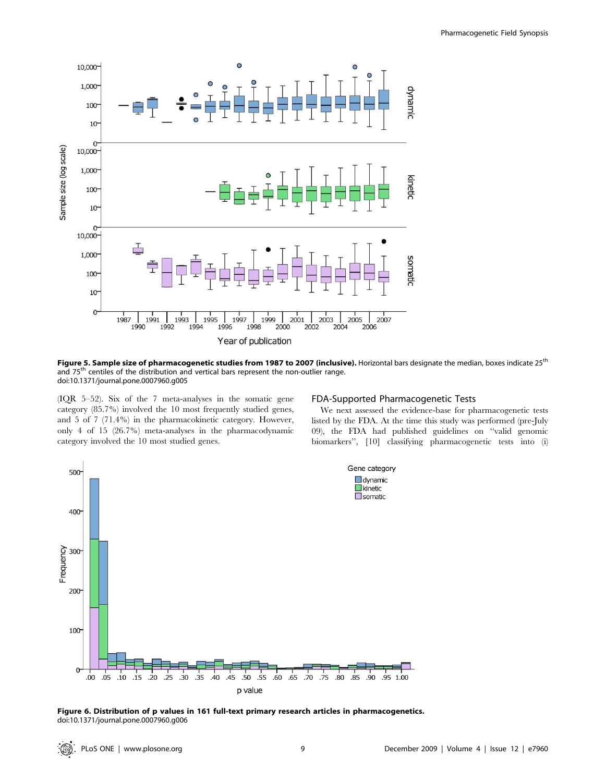

Figure 5. Sample size of pharmacogenetic studies from 1987 to 2007 (inclusive). Horizontal bars designate the median, boxes indicate 25<sup>th</sup> and 75<sup>th</sup> centiles of the distribution and vertical bars represent the non-outlier range. doi:10.1371/journal.pone.0007960.g005

(IQR 5–52). Six of the 7 meta-analyses in the somatic gene category (85.7%) involved the 10 most frequently studied genes, and 5 of 7 (71.4%) in the pharmacokinetic category. However, only 4 of 15 (26.7%) meta-analyses in the pharmacodynamic category involved the 10 most studied genes.

#### FDA-Supported Pharmacogenetic Tests

We next assessed the evidence-base for pharmacogenetic tests listed by the FDA. At the time this study was performed (pre-July 09), the FDA had published guidelines on ''valid genomic biomarkers'', [10] classifying pharmacogenetic tests into (i)



Figure 6. Distribution of p values in 161 full-text primary research articles in pharmacogenetics. doi:10.1371/journal.pone.0007960.g006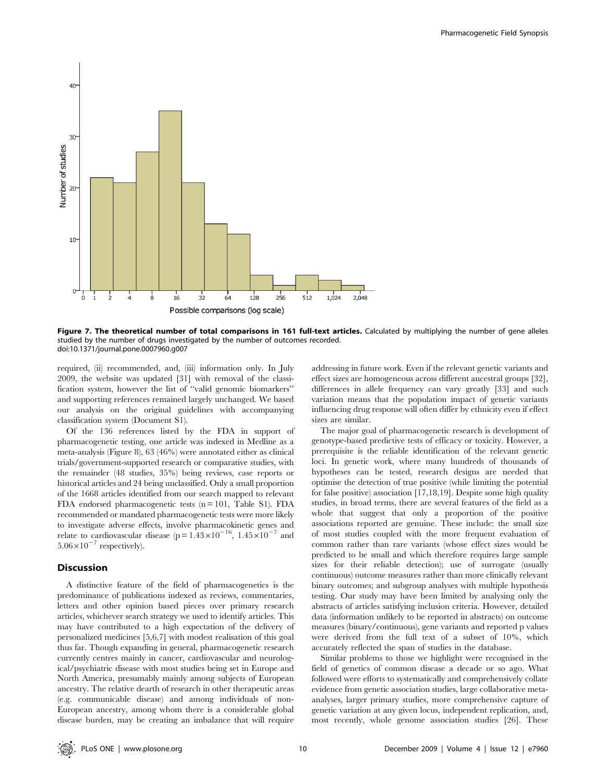

Figure 7. The theoretical number of total comparisons in 161 full-text articles. Calculated by multiplying the number of gene alleles studied by the number of drugs investigated by the number of outcomes recorded. doi:10.1371/journal.pone.0007960.g007

required, (ii) recommended, and, (iii) information only. In July 2009, the website was updated [31] with removal of the classification system, however the list of ''valid genomic biomarkers'' and supporting references remained largely unchanged. We based our analysis on the original guidelines with accompanying classification system (Document S1).

Of the 136 references listed by the FDA in support of pharmacogenetic testing, one article was indexed in Medline as a meta-analysis (Figure 8), 63 (46%) were annotated either as clinical trials/government-supported research or comparative studies, with the remainder (48 studies, 35%) being reviews, case reports or historical articles and 24 being unclassified. Only a small proportion of the 1668 articles identified from our search mapped to relevant FDA endorsed pharmacogenetic tests (n = 101, Table S1). FDA recommended or mandated pharmacogenetic tests were more likely to investigate adverse effects, involve pharmacokinetic genes and relate to cardiovascular disease ( $p = 1.43 \times 10^{-16}$ ,  $1.45 \times 10^{-7}$  and  $5.06\times10^{-7}$  respectively).

#### Discussion

A distinctive feature of the field of pharmacogenetics is the predominance of publications indexed as reviews, commentaries, letters and other opinion based pieces over primary research articles, whichever search strategy we used to identify articles. This may have contributed to a high expectation of the delivery of personalized medicines [5,6,7] with modest realisation of this goal thus far. Though expanding in general, pharmacogenetic research currently centres mainly in cancer, cardiovascular and neurological/psychiatric disease with most studies being set in Europe and North America, presumably mainly among subjects of European ancestry. The relative dearth of research in other therapeutic areas (e.g. communicable disease) and among individuals of non-European ancestry, among whom there is a considerable global disease burden, may be creating an imbalance that will require

addressing in future work. Even if the relevant genetic variants and effect sizes are homogeneous across different ancestral groups [32], differences in allele frequency can vary greatly [33] and such variation means that the population impact of genetic variants influencing drug response will often differ by ethnicity even if effect sizes are similar.

The major goal of pharmacogenetic research is development of genotype-based predictive tests of efficacy or toxicity. However, a prerequisite is the reliable identification of the relevant genetic loci. In genetic work, where many hundreds of thousands of hypotheses can be tested, research designs are needed that optimise the detection of true positive (while limiting the potential for false positive) association [17,18,19]. Despite some high quality studies, in broad terms, there are several features of the field as a whole that suggest that only a proportion of the positive associations reported are genuine. These include: the small size of most studies coupled with the more frequent evaluation of common rather than rare variants (whose effect sizes would be predicted to be small and which therefore requires large sample sizes for their reliable detection); use of surrogate (usually continuous) outcome measures rather than more clinically relevant binary outcomes; and subgroup analyses with multiple hypothesis testing. Our study may have been limited by analysing only the abstracts of articles satisfying inclusion criteria. However, detailed data (information unlikely to be reported in abstracts) on outcome measures (binary/continuous), gene variants and reported p values were derived from the full text of a subset of 10%, which accurately reflected the span of studies in the database.

Similar problems to those we highlight were recognised in the field of genetics of common disease a decade or so ago. What followed were efforts to systematically and comprehensively collate evidence from genetic association studies, large collaborative metaanalyses, larger primary studies, more comprehensive capture of genetic variation at any given locus, independent replication, and, most recently, whole genome association studies [26]. These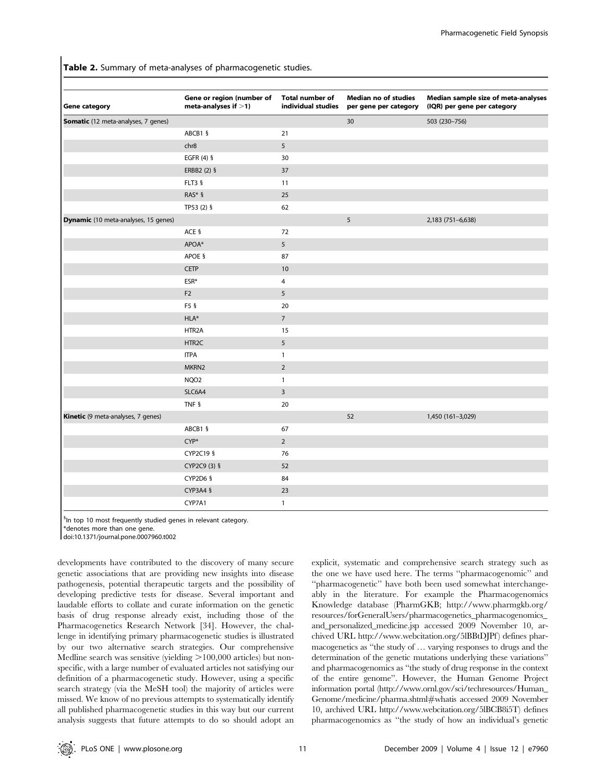Table 2. Summary of meta-analyses of pharmacogenetic studies.

| <b>Gene category</b>                 | Gene or region (number of<br>meta-analyses if $>1$ ) | Total number of<br>individual studies | <b>Median no of studies</b><br>per gene per category | Median sample size of meta-analyses<br>(IQR) per gene per category |
|--------------------------------------|------------------------------------------------------|---------------------------------------|------------------------------------------------------|--------------------------------------------------------------------|
| Somatic (12 meta-analyses, 7 genes)  |                                                      |                                       | 30                                                   | 503 (230-756)                                                      |
|                                      | ABCB1 §                                              | 21                                    |                                                      |                                                                    |
|                                      | chr8                                                 | 5                                     |                                                      |                                                                    |
|                                      | EGFR (4) §                                           | 30                                    |                                                      |                                                                    |
|                                      | ERBB2 (2) §                                          | 37                                    |                                                      |                                                                    |
|                                      | FLT3 §                                               | 11                                    |                                                      |                                                                    |
|                                      | RAS* §                                               | 25                                    |                                                      |                                                                    |
|                                      | TP53 (2) §                                           | 62                                    |                                                      |                                                                    |
| Dynamic (10 meta-analyses, 15 genes) |                                                      |                                       | 5                                                    | 2,183 (751-6,638)                                                  |
|                                      | ACE §                                                | 72                                    |                                                      |                                                                    |
|                                      | APOA*                                                | 5                                     |                                                      |                                                                    |
|                                      | APOE §                                               | 87                                    |                                                      |                                                                    |
|                                      | CETP                                                 | 10                                    |                                                      |                                                                    |
|                                      | $ESR*$                                               | $\overline{\mathbf{4}}$               |                                                      |                                                                    |
|                                      | F <sub>2</sub>                                       | 5                                     |                                                      |                                                                    |
|                                      | F5 §                                                 | 20                                    |                                                      |                                                                    |
|                                      | $HLA*$                                               | $\overline{7}$                        |                                                      |                                                                    |
|                                      | HTR2A                                                | 15                                    |                                                      |                                                                    |
|                                      | HTR2C                                                | 5                                     |                                                      |                                                                    |
|                                      | <b>ITPA</b>                                          | $\mathbf{1}$                          |                                                      |                                                                    |
|                                      | MKRN2                                                | $\overline{2}$                        |                                                      |                                                                    |
|                                      | NQO <sub>2</sub>                                     | $\mathbf{1}$                          |                                                      |                                                                    |
|                                      | SLC6A4                                               | $\overline{3}$                        |                                                      |                                                                    |
|                                      | TNF §                                                | 20                                    |                                                      |                                                                    |
| Kinetic (9 meta-analyses, 7 genes)   |                                                      |                                       | 52                                                   | 1,450 (161-3,029)                                                  |
|                                      | ABCB1 §                                              | 67                                    |                                                      |                                                                    |
|                                      | $\mathsf{CYP}^*$                                     | $\overline{2}$                        |                                                      |                                                                    |
|                                      | CYP2C19 §                                            | 76                                    |                                                      |                                                                    |
|                                      | CYP2C9 (3) §                                         | 52                                    |                                                      |                                                                    |
|                                      | CYP2D6 §                                             | 84                                    |                                                      |                                                                    |
|                                      | CYP3A4 §                                             | 23                                    |                                                      |                                                                    |
|                                      | CYP7A1                                               | $\mathbf{1}$                          |                                                      |                                                                    |

<sup>§</sup>In top 10 most frequently studied genes in relevant category.

\*denotes more than one gene.

doi:10.1371/journal.pone.0007960.t002

developments have contributed to the discovery of many secure genetic associations that are providing new insights into disease pathogenesis, potential therapeutic targets and the possibility of developing predictive tests for disease. Several important and laudable efforts to collate and curate information on the genetic basis of drug response already exist, including those of the Pharmacogenetics Research Network [34]. However, the challenge in identifying primary pharmacogenetic studies is illustrated by our two alternative search strategies. Our comprehensive Medline search was sensitive (yielding  $>100,000$  articles) but nonspecific, with a large number of evaluated articles not satisfying our definition of a pharmacogenetic study. However, using a specific search strategy (via the MeSH tool) the majority of articles were missed. We know of no previous attempts to systematically identify all published pharmacogenetic studies in this way but our current analysis suggests that future attempts to do so should adopt an explicit, systematic and comprehensive search strategy such as the one we have used here. The terms ''pharmacogenomic'' and ''pharmacogenetic'' have both been used somewhat interchangeably in the literature. For example the Pharmacogenomics Knowledge database (PharmGKB; http://www.pharmgkb.org/ resources/forGeneralUsers/pharmacogenetics\_pharmacogenomics\_ and\_personalized\_medicine.jsp accessed 2009 November 10, archived URL http://www.webcitation.org/5lBBtDJPf) defines pharmacogenetics as ''the study of … varying responses to drugs and the determination of the genetic mutations underlying these variations'' and pharmacogenomics as ''the study of drug response in the context of the entire genome''. However, the Human Genome Project information portal (http://www.ornl.gov/sci/techresources/Human\_ Genome/medicine/pharma.shtml*#*whatis accessed 2009 November 10, archived URL http://www.webcitation.org/5lBCB8i5T) defines pharmacogenomics as ''the study of how an individual's genetic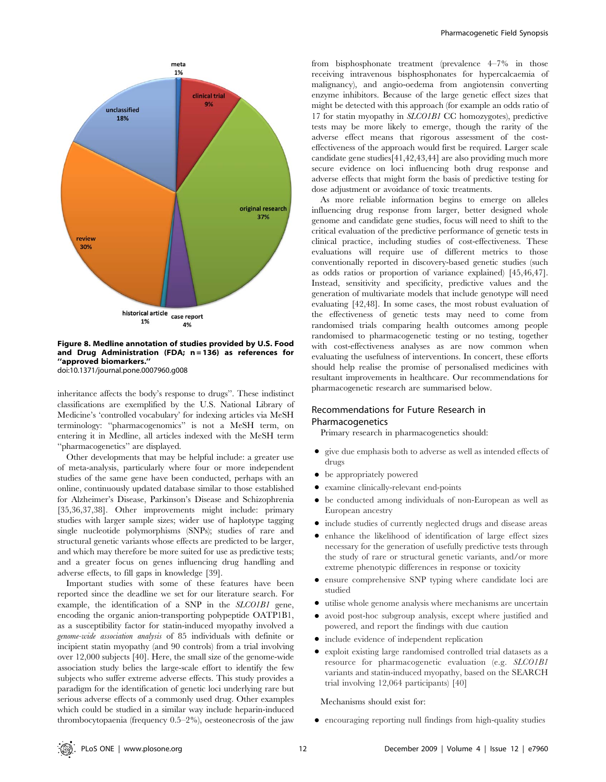

Figure 8. Medline annotation of studies provided by U.S. Food and Drug Administration (FDA;  $n = 136$ ) as references for ''approved biomarkers.'' doi:10.1371/journal.pone.0007960.g008

inheritance affects the body's response to drugs''. These indistinct classifications are exemplified by the U.S. National Library of Medicine's 'controlled vocabulary' for indexing articles via MeSH terminology: ''pharmacogenomics'' is not a MeSH term, on entering it in Medline, all articles indexed with the MeSH term ''pharmacogenetics'' are displayed.

Other developments that may be helpful include: a greater use of meta-analysis, particularly where four or more independent studies of the same gene have been conducted, perhaps with an online, continuously updated database similar to those established for Alzheimer's Disease, Parkinson's Disease and Schizophrenia [35,36,37,38]. Other improvements might include: primary studies with larger sample sizes; wider use of haplotype tagging single nucleotide polymorphisms (SNPs); studies of rare and structural genetic variants whose effects are predicted to be larger, and which may therefore be more suited for use as predictive tests; and a greater focus on genes influencing drug handling and adverse effects, to fill gaps in knowledge [39].

Important studies with some of these features have been reported since the deadline we set for our literature search. For example, the identification of a SNP in the SLCO1B1 gene, encoding the organic anion-transporting polypeptide OATP1B1, as a susceptibility factor for statin-induced myopathy involved a genome-wide association analysis of 85 individuals with definite or incipient statin myopathy (and 90 controls) from a trial involving over 12,000 subjects [40]. Here, the small size of the genome-wide association study belies the large-scale effort to identify the few subjects who suffer extreme adverse effects. This study provides a paradigm for the identification of genetic loci underlying rare but serious adverse effects of a commonly used drug. Other examples which could be studied in a similar way include heparin-induced thrombocytopaenia (frequency 0.5–2%), oesteonecrosis of the jaw

from bisphosphonate treatment (prevalence 4–7% in those receiving intravenous bisphosphonates for hypercalcaemia of malignancy), and angio-oedema from angiotensin converting enzyme inhibitors. Because of the large genetic effect sizes that might be detected with this approach (for example an odds ratio of 17 for statin myopathy in SLCO1B1 CC homozygotes), predictive tests may be more likely to emerge, though the rarity of the adverse effect means that rigorous assessment of the costeffectiveness of the approach would first be required. Larger scale candidate gene studies[41,42,43,44] are also providing much more secure evidence on loci influencing both drug response and adverse effects that might form the basis of predictive testing for dose adjustment or avoidance of toxic treatments.

As more reliable information begins to emerge on alleles influencing drug response from larger, better designed whole genome and candidate gene studies, focus will need to shift to the critical evaluation of the predictive performance of genetic tests in clinical practice, including studies of cost-effectiveness. These evaluations will require use of different metrics to those conventionally reported in discovery-based genetic studies (such as odds ratios or proportion of variance explained) [45,46,47]. Instead, sensitivity and specificity, predictive values and the generation of multivariate models that include genotype will need evaluating [42,48]. In some cases, the most robust evaluation of the effectiveness of genetic tests may need to come from randomised trials comparing health outcomes among people randomised to pharmacogenetic testing or no testing, together with cost-effectiveness analyses as are now common when evaluating the usefulness of interventions. In concert, these efforts should help realise the promise of personalised medicines with resultant improvements in healthcare. Our recommendations for pharmacogenetic research are summarised below.

#### Recommendations for Future Research in Pharmacogenetics

Primary research in pharmacogenetics should:

- give due emphasis both to adverse as well as intended effects of drugs
- $\bullet$  be appropriately powered
- examine clinically-relevant end-points
- be conducted among individuals of non-European as well as European ancestry
- N include studies of currently neglected drugs and disease areas
- N enhance the likelihood of identification of large effect sizes necessary for the generation of usefully predictive tests through the study of rare or structural genetic variants, and/or more extreme phenotypic differences in response or toxicity
- N ensure comprehensive SNP typing where candidate loci are studied
- $\bullet$  utilise whole genome analysis where mechanisms are uncertain
- N avoid post-hoc subgroup analysis, except where justified and powered, and report the findings with due caution
- $\bullet$  include evidence of independent replication
- $\bullet$  exploit existing large randomised controlled trial datasets as a resource for pharmacogenetic evaluation (e.g. SLCO1B1 variants and statin-induced myopathy, based on the SEARCH trial involving 12,064 participants) [40]

Mechanisms should exist for:

encouraging reporting null findings from high-quality studies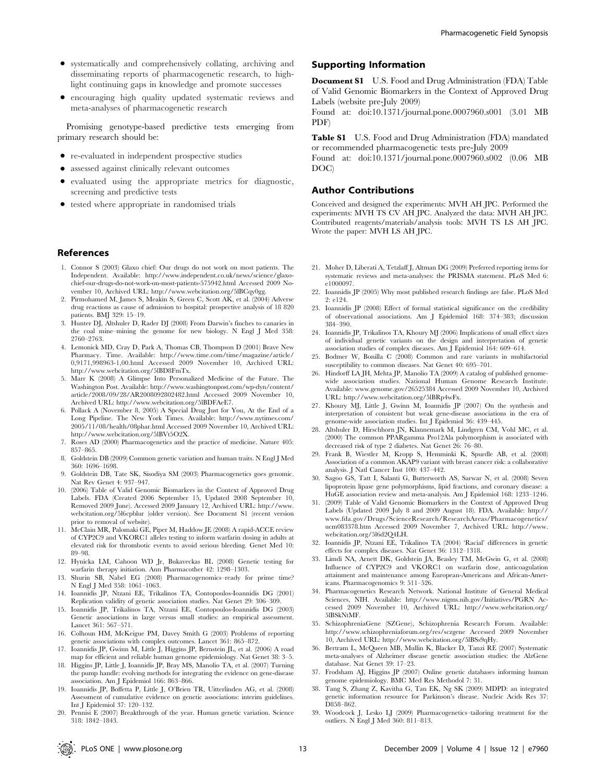- N systematically and comprehensively collating, archiving and disseminating reports of pharmacogenetic research, to highlight continuing gaps in knowledge and promote successes
- N encouraging high quality updated systematic reviews and meta-analyses of pharmacogenetic research

Promising genotype-based predictive tests emerging from primary research should be:

- N re-evaluated in independent prospective studies
- assessed against clinically relevant outcomes
- evaluated using the appropriate metrics for diagnostic, screening and predictive tests
- tested where appropriate in randomised trials

#### References

- 1. Connor S (2003) Glaxo chief: Our drugs do not work on most patients. The Independent. Available: http://www.independent.co.uk/news/science/glaxochief-our-drugs-do-not-work-on-most-patients-575942.html Accessed 2009 November 10, Archived URL: http://www.webcitation.org/5lBCqy0gg.
- 2. Pirmohamed M, James S, Meakin S, Green C, Scott AK, et al. (2004) Adverse drug reactions as cause of admission to hospital: prospective analysis of 18 820 patients. BMJ 329: 15–19.
- 3. Hunter DJ, Altshuler D, Rader DJ (2008) From Darwin's finches to canaries in the coal mine–mining the genome for new biology. N Engl J Med 358: 2760–2763.
- 4. Lemonick MD, Cray D, Park A, Thomas CB, Thompson D (2001) Brave New Pharmacy. Time. Available: http://www.time.com/time/magazine/article/ 0,9171,998963-1,00.html Accessed 2009 November 10, Archived URL: http://www.webcitation.org/5lBD8FmTx.
- 5. Marr K (2008) A Glimpse Into Personalized Medicine of the Future. The Washington Post. Available: http://www.washingtonpost.com/wp-dyn/content/ article/2008/09/28/AR2008092802482.html Accessed 2009 November 10, Archived URL: http://www.webcitation.org/5lBDFAeE7.
- 6. Pollack A (November 8, 2005) A Special Drug Just for You, At the End of a Long Pipeline. The New York Times. Available: http://www.nytimes.com/ 2005/11/08/health/08phar.html Accessed 2009 November 10, Archived URL: http://www.webcitation.org/5lBVt5O2X.
- 7. Roses AD (2000) Pharmacogenetics and the practice of medicine. Nature 405: 857–865.
- 8. Goldstein DB (2009) Common genetic variation and human traits. N Engl J Med 360: 1696–1698.
- 9. Goldstein DB, Tate SK, Sisodiya SM (2003) Pharmacogenetics goes genomic. Nat Rev Genet 4: 937–947.
- 10. (2006) Table of Valid Genomic Biomarkers in the Context of Approved Drug Labels. FDA (Created 2006 September 15, Updated 2008 September 10, Removed 2009 June). Accessed 2009 January 12, Archived URL: http://www. webcitation.org/5l6cpblur (older version). See Document S1 (recent version prior to removal of website).
- 11. McClain MR, Palomaki GE, Piper M, Haddow JE (2008) A rapid-ACCE review of CYP2C9 and VKORC1 alleles testing to inform warfarin dosing in adults at elevated risk for thrombotic events to avoid serious bleeding. Genet Med 10: 89–98.
- 12. Hynicka LM, Cahoon WD Jr, Bukaveckas BL (2008) Genetic testing for warfarin therapy initiation. Ann Pharmacother 42: 1298–1303.
- 13. Shurin SB, Nabel EG (2008) Pharmacogenomics–ready for prime time? N Engl J Med 358: 1061–1063.
- 14. Ioannidis JP, Ntzani EE, Trikalinos TA, Contopoulos-Ioannidis DG (2001) Replication validity of genetic association studies. Nat Genet 29: 306–309.
- 15. Ioannidis JP, Trikalinos TA, Ntzani EE, Contopoulos-Ioannidis DG (2003) Genetic associations in large versus small studies: an empirical assessment. Lancet 361: 567–571.
- 16. Colhoun HM, McKeigue PM, Davey Smith G (2003) Problems of reporting genetic associations with complex outcomes. Lancet 361: 865–872.
- 17. Ioannidis JP, Gwinn M, Little J, Higgins JP, Bernstein JL, et al. (2006) A road map for efficient and reliable human genome epidemiology. Nat Genet 38: 3–5.
- 18. Higgins JP, Little J, Ioannidis JP, Bray MS, Manolio TA, et al. (2007) Turning the pump handle: evolving methods for integrating the evidence on gene-disease association. Am J Epidemiol 166: 863–866.
- 19. Ioannidis JP, Boffetta P, Little J, O'Brien TR, Uitterlinden AG, et al. (2008) Assessment of cumulative evidence on genetic associations: interim guidelines. Int J Epidemiol 37: 120–132.
- 20. Pennisi E (2007) Breakthrough of the year. Human genetic variation. Science 318: 1842–1843.

#### Supporting Information

Document S1 U.S. Food and Drug Administration (FDA) Table of Valid Genomic Biomarkers in the Context of Approved Drug Labels (website pre-July 2009)

Found at: doi:10.1371/journal.pone.0007960.s001 (3.01 MB PDF)

Table S1 U.S. Food and Drug Administration (FDA) mandated or recommended pharmacogenetic tests pre-July 2009

Found at: doi:10.1371/journal.pone.0007960.s002 (0.06 MB DOC)

#### Author Contributions

Conceived and designed the experiments: MVH AH JPC. Performed the experiments: MVH TS CV AH JPC. Analyzed the data: MVH AH JPC. Contributed reagents/materials/analysis tools: MVH TS LS AH JPC. Wrote the paper: MVH LS AH JPC.

- 21. Moher D, Liberati A, Tetzlaff J, Altman DG (2009) Preferred reporting items for systematic reviews and meta-analyses: the PRISMA statement. PLoS Med 6: e1000097.
- 22. Ioannidis JP (2005) Why most published research findings are false. PLoS Med 2: e124.
- 23. Ioannidis JP (2008) Effect of formal statistical significance on the credibility of observational associations. Am J Epidemiol 168: 374–383; discussion 384–390.
- 24. Ioannidis JP, Trikalinos TA, Khoury MJ (2006) Implications of small effect sizes of individual genetic variants on the design and interpretation of genetic association studies of complex diseases. Am J Epidemiol 164: 609–614.
- 25. Bodmer W, Bonilla C (2008) Common and rare variants in multifactorial susceptibility to common diseases. Nat Genet 40: 695–701.
- 26. Hindorff LA JH, Mehta JP, Manolio TA (2009) A catalog of published genomewide association studies. National Human Genome Research Institute. Available: www.genome.gov/26525384 Accessed 2009 November 10, Archived URL: http://www.webcitation.org/5lBRp4wFx.
- 27. Khoury MJ, Little J, Gwinn M, Ioannidis JP (2007) On the synthesis and interpretation of consistent but weak gene-disease associations in the era of genome-wide association studies. Int J Epidemiol 36: 439–445.
- 28. Altshuler D, Hirschhorn JN, Klannemark M, Lindgren CM, Vohl MC, et al. (2000) The common PPARgamma Pro12Ala polymorphism is associated with decreased risk of type 2 diabetes. Nat Genet 26: 76–80.
- 29. Frank B, Wiestler M, Kropp S, Hemminki K, Spurdle AB, et al. (2008) Association of a common AKAP9 variant with breast cancer risk: a collaborative analysis. J Natl Cancer Inst 100: 437–442.
- 30. Sagoo GS, Tatt I, Salanti G, Butterworth AS, Sarwar N, et al. (2008) Seven lipoprotein lipase gene polymorphisms, lipid fractions, and coronary disease: a HuGE association review and meta-analysis. Am J Epidemiol 168: 1233–1246.
- 31. (2009) Table of Valid Genomic Biomarkers in the Context of Approved Drug Labels (Updated 2009 July 8 and 2009 August 18). FDA. Available: http:// www.fda.gov/Drugs/ScienceResearch/ResearchAreas/Pharmacogenetics/ ucm083378.htm Accessed 2009 November 7, Archived URL: http://www. webcitation.org/5l6d2Q4LH.
- 32. Ioannidis JP, Ntzani EE, Trikalinos TA (2004) 'Racial' differences in genetic effects for complex diseases. Nat Genet 36: 1312–1318.
- 33. Limdi NA, Arnett DK, Goldstein JA, Beasley TM, McGwin G, et al. (2008) Influence of CYP2C9 and VKORC1 on warfarin dose, anticoagulation attainment and maintenance among European-Americans and African-Americans. Pharmacogenomics 9: 511–526.
- 34. Pharmacogenetics Research Network. National Institute of General Medical Sciences, NIH. Available: http://www.nigms.nih.gov/Initiatives/PGRN Accessed 2009 November 10, Archived URL: http://www.webcitation.org/ 5lBSkNtMF.
- 35. SchizophreniaGene (SZGene), Schizophrenia Research Forum. Available: http://www.schizophreniaforum.org/res/sczgene Accessed 2009 November 10, Archived URL: http://www.webcitation.org/5lBSs9qHy.
- 36. Bertram L, McQueen MB, Mullin K, Blacker D, Tanzi RE (2007) Systematic meta-analyses of Alzheimer disease genetic association studies: the AlzGene database. Nat Genet 39: 17–23.
- 37. Frodsham AJ, Higgins JP (2007) Online genetic databases informing human genome epidemiology. BMC Med Res Methodol 7: 31.
- 38. Tang S, Zhang Z, Kavitha G, Tan EK, Ng SK (2009) MDPD: an integrated genetic information resource for Parkinson's disease. Nucleic Acids Res 37: D858–862
- 39. Woodcock J, Lesko LJ (2009) Pharmacogenetics–tailoring treatment for the outliers. N Engl J Med 360: 811–813.